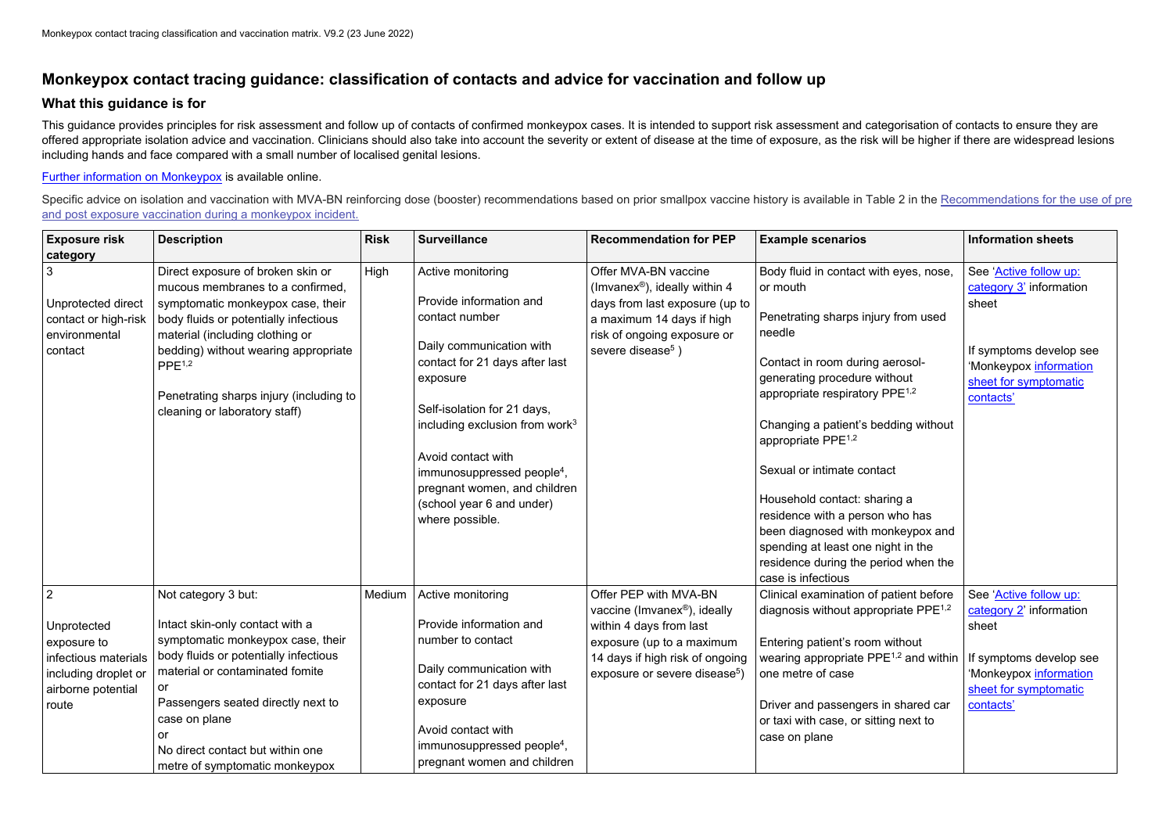## **Monkeypox contact tracing guidance: classification of contacts and advice for vaccination and follow up**

## **What this guidance is for**

This guidance provides principles for risk assessment and follow up of contacts of confirmed monkeypox cases. It is intended to support risk assessment and categorisation of contacts to ensure they are offered appropriate isolation advice and vaccination. Clinicians should also take into account the severity or extent of disease at the time of exposure, as the risk will be higher if there are widespread lesions including hands and face compared with a small number of localised genital lesions.

Specific advice on isolation and vaccination with MVA-BN reinforcing dose (booster) recommendations based on prior smallpox vaccine history is available in Table 2 in the Recommendations for the use of pre [and post exposure vaccination during a monkeypox incident.](https://www.gov.uk/government/publications/monkeypox-vaccination)

## [Further information on Monkeypox](https://www.gov.uk/government/collections/monkeypox-guidance) is available online.

| <b>Exposure risk</b><br>category                                                                                            | <b>Description</b>                                                                                                                                                                                                                                                                                                               | <b>Risk</b> | <b>Surveillance</b>                                                                                                                                                                                                                                                                                                                                          | <b>Recommendation for PEP</b>                                                                                                                                                                    | <b>Example scenarios</b>                                                                                                                                                                                                                                                                                                                                                                                                                                                                                                                 | <b>Information sheets</b>                                                                                                                             |
|-----------------------------------------------------------------------------------------------------------------------------|----------------------------------------------------------------------------------------------------------------------------------------------------------------------------------------------------------------------------------------------------------------------------------------------------------------------------------|-------------|--------------------------------------------------------------------------------------------------------------------------------------------------------------------------------------------------------------------------------------------------------------------------------------------------------------------------------------------------------------|--------------------------------------------------------------------------------------------------------------------------------------------------------------------------------------------------|------------------------------------------------------------------------------------------------------------------------------------------------------------------------------------------------------------------------------------------------------------------------------------------------------------------------------------------------------------------------------------------------------------------------------------------------------------------------------------------------------------------------------------------|-------------------------------------------------------------------------------------------------------------------------------------------------------|
| 3<br>Unprotected direct<br>contact or high-risk<br>environmental<br>contact                                                 | Direct exposure of broken skin or<br>mucous membranes to a confirmed,<br>symptomatic monkeypox case, their<br>body fluids or potentially infectious<br>material (including clothing or<br>bedding) without wearing appropriate<br>PPE <sup>1,2</sup><br>Penetrating sharps injury (including to<br>cleaning or laboratory staff) | High        | Active monitoring<br>Provide information and<br>contact number<br>Daily communication with<br>contact for 21 days after last<br>exposure<br>Self-isolation for 21 days,<br>including exclusion from work $3$<br>Avoid contact with<br>immunosuppressed people <sup>4</sup> ,<br>pregnant women, and children<br>(school year 6 and under)<br>where possible. | Offer MVA-BN vaccine<br>(Imvanex <sup>®</sup> ), ideally within 4<br>days from last exposure (up to<br>a maximum 14 days if high<br>risk of ongoing exposure or<br>severe disease <sup>5</sup> ) | Body fluid in contact with eyes, nose,<br>or mouth<br>Penetrating sharps injury from used<br>needle<br>Contact in room during aerosol-<br>generating procedure without<br>appropriate respiratory PPE <sup>1,2</sup><br>Changing a patient's bedding without<br>appropriate PPE <sup>1,2</sup><br>Sexual or intimate contact<br>Household contact: sharing a<br>residence with a person who has<br>been diagnosed with monkeypox and<br>spending at least one night in the<br>residence during the period when the<br>case is infectious | See 'Active follow up:<br>category 3' information<br>sheet<br>If symptoms develop see<br>'Monkeypox information<br>sheet for symptomatic<br>contacts' |
| $\overline{2}$<br>Unprotected<br>exposure to<br>infectious materials<br>including droplet or<br>airborne potential<br>route | Not category 3 but:<br>Intact skin-only contact with a<br>symptomatic monkeypox case, their<br>body fluids or potentially infectious<br>material or contaminated fomite<br>or<br>Passengers seated directly next to<br>case on plane<br>or<br>No direct contact but within one<br>metre of symptomatic monkeypox                 | Medium      | Active monitoring<br>Provide information and<br>number to contact<br>Daily communication with<br>contact for 21 days after last<br>exposure<br>Avoid contact with<br>immunosuppressed people <sup>4</sup> ,<br>pregnant women and children                                                                                                                   | Offer PEP with MVA-BN<br>vaccine (Imvanex®), ideally<br>within 4 days from last<br>exposure (up to a maximum<br>14 days if high risk of ongoing<br>exposure or severe disease <sup>5</sup> )     | Clinical examination of patient before<br>diagnosis without appropriate $PPE^{1,2}$<br>Entering patient's room without<br>wearing appropriate PPE <sup>1,2</sup> and within $ $ If symptoms develop see<br>one metre of case<br>Driver and passengers in shared car<br>or taxi with case, or sitting next to<br>case on plane                                                                                                                                                                                                            | See 'Active follow up:<br>category 2' information<br>sheet<br>Monkeypox information<br>sheet for symptomatic<br>contacts'                             |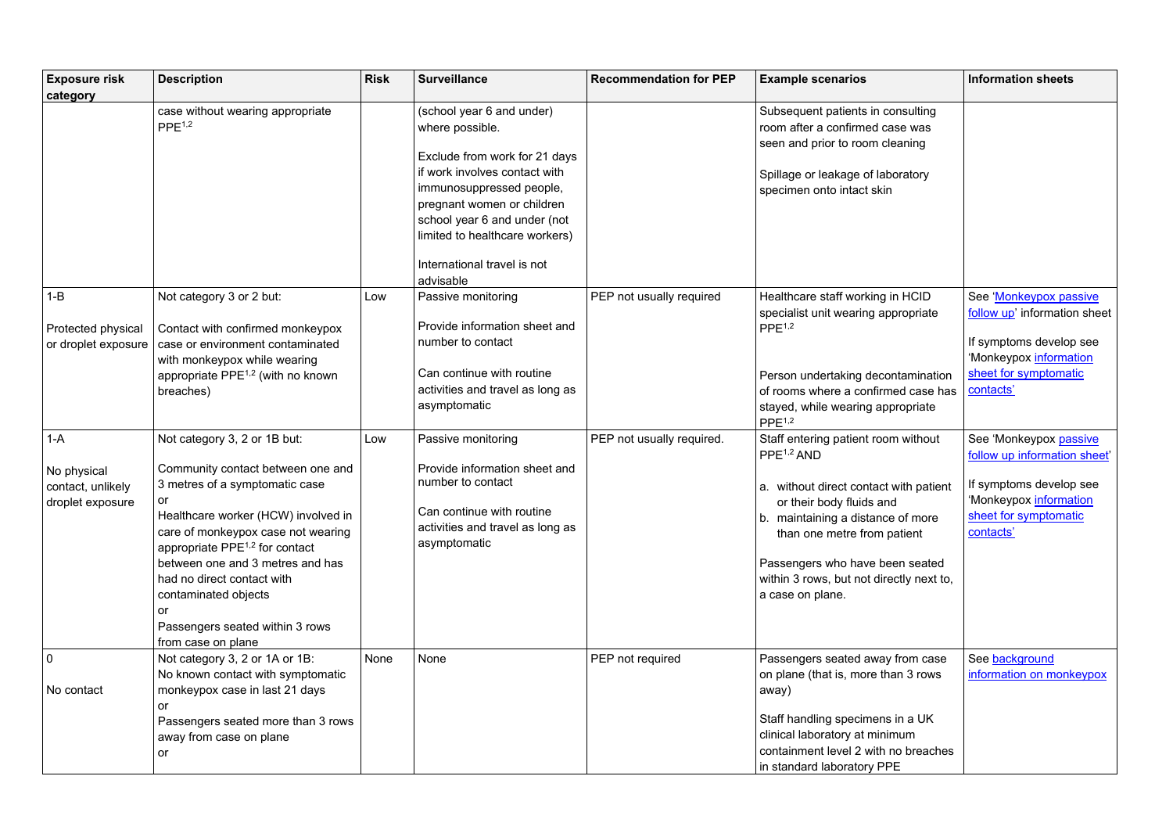| <b>Exposure risk</b><br>category                              | <b>Description</b>                                                                                                                                                                                                                                                                                                                                                                            | <b>Risk</b> | <b>Surveillance</b>                                                                                                                                                                                                                                                       | <b>Recommendation for PEP</b> | <b>Example scenarios</b>                                                                                                                                                                                                                                                                                   | <b>Information sheets</b>                                                                                                                         |
|---------------------------------------------------------------|-----------------------------------------------------------------------------------------------------------------------------------------------------------------------------------------------------------------------------------------------------------------------------------------------------------------------------------------------------------------------------------------------|-------------|---------------------------------------------------------------------------------------------------------------------------------------------------------------------------------------------------------------------------------------------------------------------------|-------------------------------|------------------------------------------------------------------------------------------------------------------------------------------------------------------------------------------------------------------------------------------------------------------------------------------------------------|---------------------------------------------------------------------------------------------------------------------------------------------------|
|                                                               | case without wearing appropriate<br>PPE <sup>1,2</sup>                                                                                                                                                                                                                                                                                                                                        |             | (school year 6 and under)<br>where possible.<br>Exclude from work for 21 days<br>if work involves contact with<br>immunosuppressed people,<br>pregnant women or children<br>school year 6 and under (not<br>limited to healthcare workers)<br>International travel is not |                               | Subsequent patients in consulting<br>room after a confirmed case was<br>seen and prior to room cleaning<br>Spillage or leakage of laboratory<br>specimen onto intact skin                                                                                                                                  |                                                                                                                                                   |
| $1 - B$<br><b>Protected physical</b><br>or droplet exposure   | Not category 3 or 2 but:<br>Contact with confirmed monkeypox<br>case or environment contaminated<br>with monkeypox while wearing<br>appropriate $PPE^{1,2}$ (with no known<br>breaches)                                                                                                                                                                                                       | Low         | advisable<br>Passive monitoring<br>Provide information sheet and<br>number to contact<br>Can continue with routine<br>activities and travel as long as<br>asymptomatic                                                                                                    | PEP not usually required      | Healthcare staff working in HCID<br>specialist unit wearing appropriate<br>PPE <sup>1,2</sup><br>Person undertaking decontamination<br>of rooms where a confirmed case has<br>stayed, while wearing appropriate<br>PPE <sup>1,2</sup>                                                                      | See 'Monkeypox passive<br>follow up' information sheet<br>If symptoms develop see<br>'Monkeypox information<br>sheet for symptomatic<br>contacts' |
| $1-A$<br>No physical<br>contact, unlikely<br>droplet exposure | Not category 3, 2 or 1B but:<br>Community contact between one and<br>3 metres of a symptomatic case<br>or<br>Healthcare worker (HCW) involved in<br>care of monkeypox case not wearing<br>appropriate PPE <sup>1,2</sup> for contact<br>between one and 3 metres and has<br>had no direct contact with<br>contaminated objects<br>or<br>Passengers seated within 3 rows<br>from case on plane | Low         | Passive monitoring<br>Provide information sheet and<br>number to contact<br>Can continue with routine<br>activities and travel as long as<br>asymptomatic                                                                                                                 | PEP not usually required.     | Staff entering patient room without<br>PPE <sup>1,2</sup> AND<br>a. without direct contact with patient<br>or their body fluids and<br>b. maintaining a distance of more<br>than one metre from patient<br>Passengers who have been seated<br>within 3 rows, but not directly next to,<br>a case on plane. | See 'Monkeypox passive<br>follow up information sheet'<br>If symptoms develop see<br>'Monkeypox information<br>sheet for symptomatic<br>contacts' |
| $\mathbf 0$<br>No contact                                     | Not category 3, 2 or 1A or 1B:<br>No known contact with symptomatic<br>monkeypox case in last 21 days<br>or<br>Passengers seated more than 3 rows<br>away from case on plane<br>or                                                                                                                                                                                                            | None        | None                                                                                                                                                                                                                                                                      | PEP not required              | Passengers seated away from case<br>on plane (that is, more than 3 rows<br>away)<br>Staff handling specimens in a UK<br>clinical laboratory at minimum<br>containment level 2 with no breaches<br>in standard laboratory PPE                                                                               | See background<br>information on monkeypox                                                                                                        |